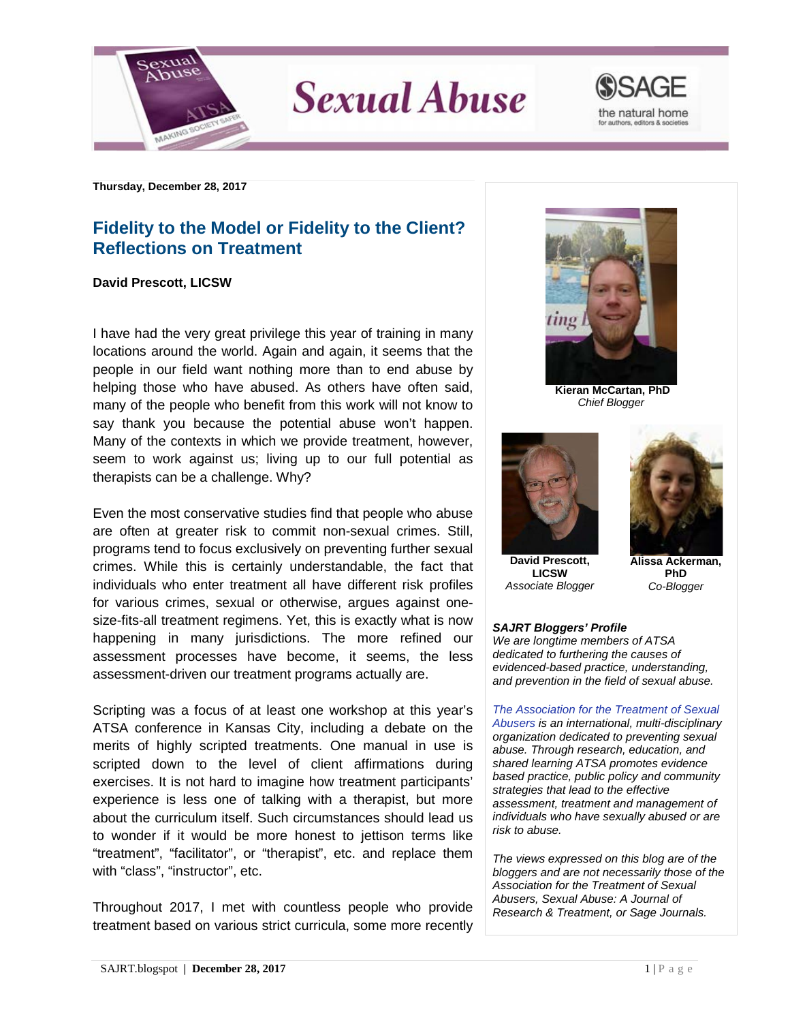

**Sexual Abuse** 



**Thursday, December 28, 2017**

## **Fidelity to the Model or Fidelity to the Client? Reflections on Treatment**

## **David Prescott, LICSW**

I have had the very great privilege this year of training in many locations around the world. Again and again, it seems that the people in our field want nothing more than to end abuse by helping those who have abused. As others have often said, many of the people who benefit from this work will not know to say thank you because the potential abuse won't happen. Many of the contexts in which we provide treatment, however, seem to work against us; living up to our full potential as therapists can be a challenge. Why?

Even the most conservative studies find that people who abuse are often at greater risk to commit non-sexual crimes. Still, programs tend to focus exclusively on preventing further sexual crimes. While this is certainly understandable, the fact that individuals who enter treatment all have different risk profiles for various crimes, sexual or otherwise, argues against onesize-fits-all treatment regimens. Yet, this is exactly what is now happening in many jurisdictions. The more refined our assessment processes have become, it seems, the less assessment-driven our treatment programs actually are.

Scripting was a focus of at least one workshop at this year's ATSA conference in Kansas City, including a debate on the merits of highly scripted treatments. One manual in use is scripted down to the level of client affirmations during exercises. It is not hard to imagine how treatment participants' experience is less one of talking with a therapist, but more about the curriculum itself. Such circumstances should lead us to wonder if it would be more honest to jettison terms like "treatment", "facilitator", or "therapist", etc. and replace them with "class", "instructor", etc.

Throughout 2017, I met with countless people who provide treatment based on various strict curricula, some more recently



**Kieran McCartan, PhD** *Chief Blogger*



**David Prescott, LICSW** *Associate Blogger*



**Alissa Ackerman, PhD** *Co-Blogger*

## *SAJRT Bloggers' Profile*

*We are longtime members of ATSA dedicated to furthering the causes of evidenced-based practice, understanding, and prevention in the field of sexual abuse.*

*[The Association for the Treatment of Sexual](http://atsa.com/)  [Abusers](http://atsa.com/) is an international, multi-disciplinary organization dedicated to preventing sexual abuse. Through research, education, and shared learning ATSA promotes evidence based practice, public policy and community strategies that lead to the effective assessment, treatment and management of individuals who have sexually abused or are risk to abuse.* 

*The views expressed on this blog are of the bloggers and are not necessarily those of the Association for the Treatment of Sexual Abusers, Sexual Abuse: A Journal of Research & Treatment, or Sage Journals.*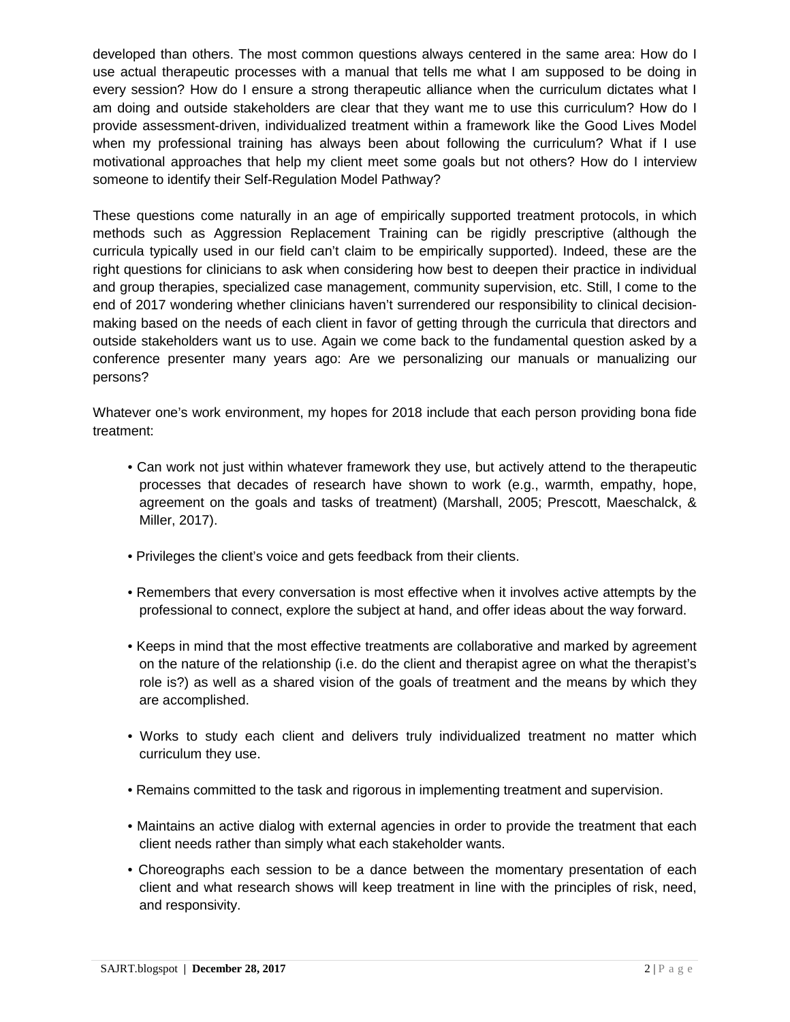developed than others. The most common questions always centered in the same area: How do I use actual therapeutic processes with a manual that tells me what I am supposed to be doing in every session? How do I ensure a strong therapeutic alliance when the curriculum dictates what I am doing and outside stakeholders are clear that they want me to use this curriculum? How do I provide assessment-driven, individualized treatment within a framework like the Good Lives Model when my professional training has always been about following the curriculum? What if I use motivational approaches that help my client meet some goals but not others? How do I interview someone to identify their Self-Regulation Model Pathway?

These questions come naturally in an age of empirically supported treatment protocols, in which methods such as Aggression Replacement Training can be rigidly prescriptive (although the curricula typically used in our field can't claim to be empirically supported). Indeed, these are the right questions for clinicians to ask when considering how best to deepen their practice in individual and group therapies, specialized case management, community supervision, etc. Still, I come to the end of 2017 wondering whether clinicians haven't surrendered our responsibility to clinical decisionmaking based on the needs of each client in favor of getting through the curricula that directors and outside stakeholders want us to use. Again we come back to the fundamental question asked by a conference presenter many years ago: Are we personalizing our manuals or manualizing our persons?

Whatever one's work environment, my hopes for 2018 include that each person providing bona fide treatment:

- Can work not just within whatever framework they use, but actively attend to the therapeutic processes that decades of research have shown to work (e.g., warmth, empathy, hope, agreement on the goals and tasks of treatment) (Marshall, 2005; Prescott, Maeschalck, & Miller, 2017).
- Privileges the client's voice and gets feedback from their clients.
- Remembers that every conversation is most effective when it involves active attempts by the professional to connect, explore the subject at hand, and offer ideas about the way forward.
- Keeps in mind that the most effective treatments are collaborative and marked by agreement on the nature of the relationship (i.e. do the client and therapist agree on what the therapist's role is?) as well as a shared vision of the goals of treatment and the means by which they are accomplished.
- Works to study each client and delivers truly individualized treatment no matter which curriculum they use.
- Remains committed to the task and rigorous in implementing treatment and supervision.
- Maintains an active dialog with external agencies in order to provide the treatment that each client needs rather than simply what each stakeholder wants.
- Choreographs each session to be a dance between the momentary presentation of each client and what research shows will keep treatment in line with the principles of risk, need, and responsivity.